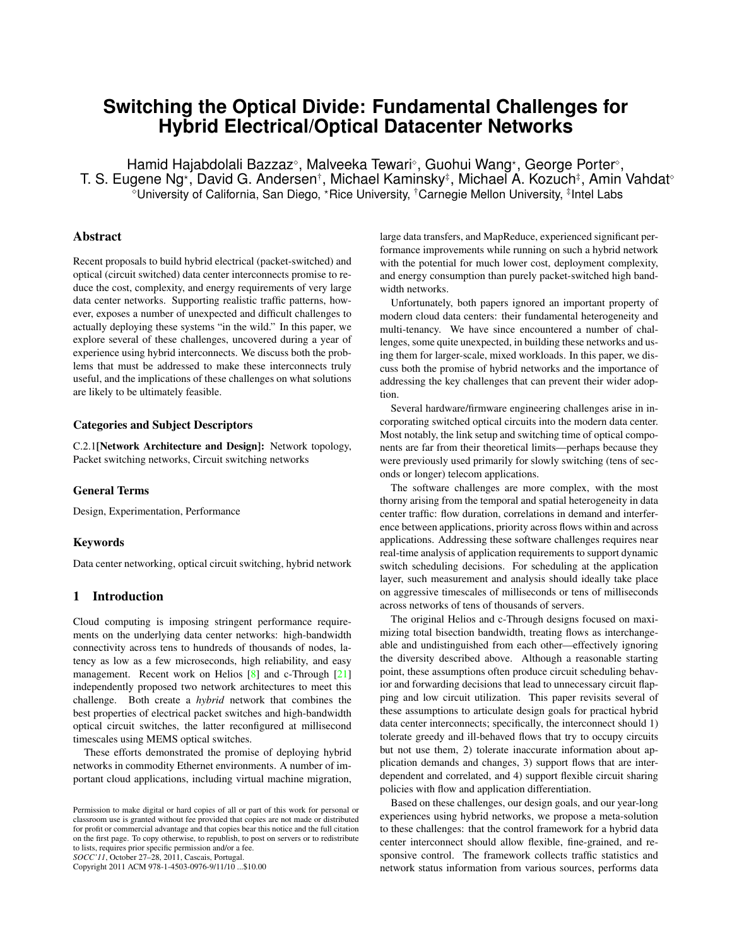# **Switching the Optical Divide: Fundamental Challenges for Hybrid Electrical/Optical Datacenter Networks**

Hamid Hajabdolali Bazzaz°, Malveeka Tewari°, Guohui Wang\*, George Porter°, T. S. Eugene Ng\*, David G. Andersen†, Michael Kaminsky‡, Michael A. Kozuch‡, Amin Vahdat°  $\sqrt[5]{}$ University of California, San Diego, \*Rice University,  $\dagger$ Carnegie Mellon University,  $\ddagger$ Intel Labs

# Abstract

Recent proposals to build hybrid electrical (packet-switched) and optical (circuit switched) data center interconnects promise to reduce the cost, complexity, and energy requirements of very large data center networks. Supporting realistic traffic patterns, however, exposes a number of unexpected and difficult challenges to actually deploying these systems "in the wild." In this paper, we explore several of these challenges, uncovered during a year of experience using hybrid interconnects. We discuss both the problems that must be addressed to make these interconnects truly useful, and the implications of these challenges on what solutions are likely to be ultimately feasible.

#### Categories and Subject Descriptors

C.2.1[Network Architecture and Design]: Network topology, Packet switching networks, Circuit switching networks

#### General Terms

Design, Experimentation, Performance

#### Keywords

Data center networking, optical circuit switching, hybrid network

#### 1 Introduction

Cloud computing is imposing stringent performance requirements on the underlying data center networks: high-bandwidth connectivity across tens to hundreds of thousands of nodes, latency as low as a few microseconds, high reliability, and easy management. Recent work on Helios [\[8\]](#page-6-0) and c-Through [\[21\]](#page-7-0) independently proposed two network architectures to meet this challenge. Both create a *hybrid* network that combines the best properties of electrical packet switches and high-bandwidth optical circuit switches, the latter reconfigured at millisecond timescales using MEMS optical switches.

These efforts demonstrated the promise of deploying hybrid networks in commodity Ethernet environments. A number of important cloud applications, including virtual machine migration,

*SOCC'11*, October 27–28, 2011, Cascais, Portugal.

Copyright 2011 ACM 978-1-4503-0976-9/11/10 ...\$10.00

large data transfers, and MapReduce, experienced significant performance improvements while running on such a hybrid network with the potential for much lower cost, deployment complexity, and energy consumption than purely packet-switched high bandwidth networks.

Unfortunately, both papers ignored an important property of modern cloud data centers: their fundamental heterogeneity and multi-tenancy. We have since encountered a number of challenges, some quite unexpected, in building these networks and using them for larger-scale, mixed workloads. In this paper, we discuss both the promise of hybrid networks and the importance of addressing the key challenges that can prevent their wider adoption.

Several hardware/firmware engineering challenges arise in incorporating switched optical circuits into the modern data center. Most notably, the link setup and switching time of optical components are far from their theoretical limits—perhaps because they were previously used primarily for slowly switching (tens of seconds or longer) telecom applications.

The software challenges are more complex, with the most thorny arising from the temporal and spatial heterogeneity in data center traffic: flow duration, correlations in demand and interference between applications, priority across flows within and across applications. Addressing these software challenges requires near real-time analysis of application requirements to support dynamic switch scheduling decisions. For scheduling at the application layer, such measurement and analysis should ideally take place on aggressive timescales of milliseconds or tens of milliseconds across networks of tens of thousands of servers.

The original Helios and c-Through designs focused on maximizing total bisection bandwidth, treating flows as interchangeable and undistinguished from each other—effectively ignoring the diversity described above. Although a reasonable starting point, these assumptions often produce circuit scheduling behavior and forwarding decisions that lead to unnecessary circuit flapping and low circuit utilization. This paper revisits several of these assumptions to articulate design goals for practical hybrid data center interconnects; specifically, the interconnect should 1) tolerate greedy and ill-behaved flows that try to occupy circuits but not use them, 2) tolerate inaccurate information about application demands and changes, 3) support flows that are interdependent and correlated, and 4) support flexible circuit sharing policies with flow and application differentiation.

Based on these challenges, our design goals, and our year-long experiences using hybrid networks, we propose a meta-solution to these challenges: that the control framework for a hybrid data center interconnect should allow flexible, fine-grained, and responsive control. The framework collects traffic statistics and network status information from various sources, performs data

Permission to make digital or hard copies of all or part of this work for personal or classroom use is granted without fee provided that copies are not made or distributed for profit or commercial advantage and that copies bear this notice and the full citation on the first page. To copy otherwise, to republish, to post on servers or to redistribute to lists, requires prior specific permission and/or a fee.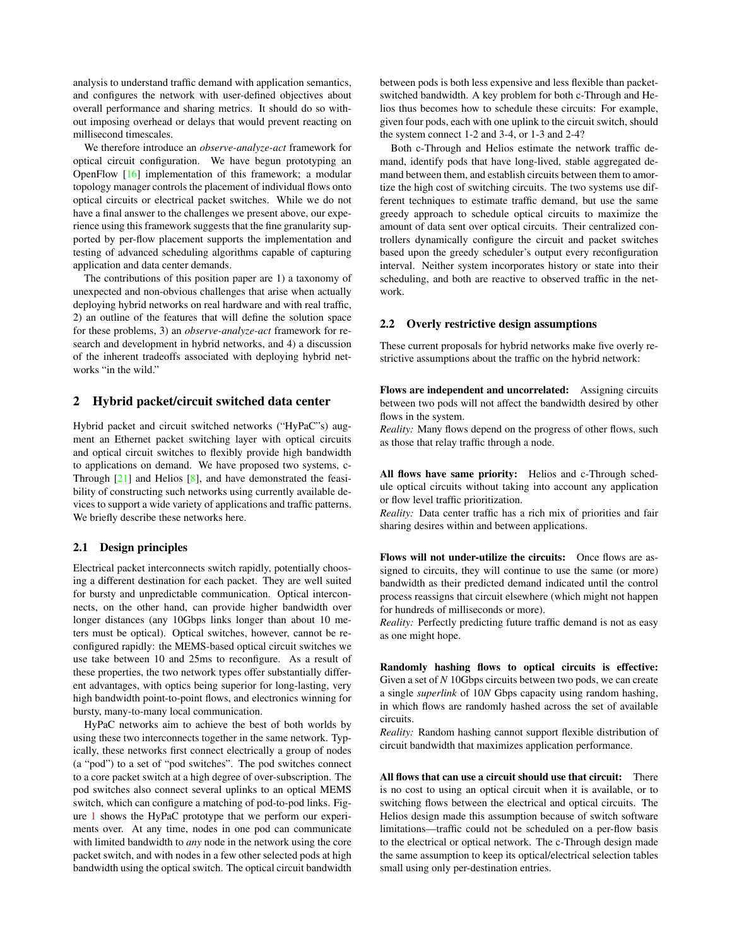analysis to understand traffic demand with application semantics, and configures the network with user-defined objectives about overall performance and sharing metrics. It should do so without imposing overhead or delays that would prevent reacting on millisecond timescales.

We therefore introduce an *observe-analyze-act* framework for optical circuit configuration. We have begun prototyping an OpenFlow [\[16\]](#page-7-1) implementation of this framework; a modular topology manager controls the placement of individual flows onto optical circuits or electrical packet switches. While we do not have a final answer to the challenges we present above, our experience using this framework suggests that the fine granularity supported by per-flow placement supports the implementation and testing of advanced scheduling algorithms capable of capturing application and data center demands.

The contributions of this position paper are 1) a taxonomy of unexpected and non-obvious challenges that arise when actually deploying hybrid networks on real hardware and with real traffic, 2) an outline of the features that will define the solution space for these problems, 3) an *observe-analyze-act* framework for research and development in hybrid networks, and 4) a discussion of the inherent tradeoffs associated with deploying hybrid networks "in the wild."

## 2 Hybrid packet/circuit switched data center

Hybrid packet and circuit switched networks ("HyPaC"s) augment an Ethernet packet switching layer with optical circuits and optical circuit switches to flexibly provide high bandwidth to applications on demand. We have proposed two systems, c-Through [\[21\]](#page-7-0) and Helios [\[8\]](#page-6-0), and have demonstrated the feasibility of constructing such networks using currently available devices to support a wide variety of applications and traffic patterns. We briefly describe these networks here.

#### 2.1 Design principles

Electrical packet interconnects switch rapidly, potentially choosing a different destination for each packet. They are well suited for bursty and unpredictable communication. Optical interconnects, on the other hand, can provide higher bandwidth over longer distances (any 10Gbps links longer than about 10 meters must be optical). Optical switches, however, cannot be reconfigured rapidly: the MEMS-based optical circuit switches we use take between 10 and 25ms to reconfigure. As a result of these properties, the two network types offer substantially different advantages, with optics being superior for long-lasting, very high bandwidth point-to-point flows, and electronics winning for bursty, many-to-many local communication.

HyPaC networks aim to achieve the best of both worlds by using these two interconnects together in the same network. Typically, these networks first connect electrically a group of nodes (a "pod") to a set of "pod switches". The pod switches connect to a core packet switch at a high degree of over-subscription. The pod switches also connect several uplinks to an optical MEMS switch, which can configure a matching of pod-to-pod links. Figure [1](#page-2-0) shows the HyPaC prototype that we perform our experiments over. At any time, nodes in one pod can communicate with limited bandwidth to *any* node in the network using the core packet switch, and with nodes in a few other selected pods at high bandwidth using the optical switch. The optical circuit bandwidth

between pods is both less expensive and less flexible than packetswitched bandwidth. A key problem for both c-Through and Helios thus becomes how to schedule these circuits: For example, given four pods, each with one uplink to the circuit switch, should the system connect 1-2 and 3-4, or 1-3 and 2-4?

Both c-Through and Helios estimate the network traffic demand, identify pods that have long-lived, stable aggregated demand between them, and establish circuits between them to amortize the high cost of switching circuits. The two systems use different techniques to estimate traffic demand, but use the same greedy approach to schedule optical circuits to maximize the amount of data sent over optical circuits. Their centralized controllers dynamically configure the circuit and packet switches based upon the greedy scheduler's output every reconfiguration interval. Neither system incorporates history or state into their scheduling, and both are reactive to observed traffic in the network.

#### 2.2 Overly restrictive design assumptions

These current proposals for hybrid networks make five overly restrictive assumptions about the traffic on the hybrid network:

Flows are independent and uncorrelated: Assigning circuits between two pods will not affect the bandwidth desired by other flows in the system.

*Reality:* Many flows depend on the progress of other flows, such as those that relay traffic through a node.

All flows have same priority: Helios and c-Through schedule optical circuits without taking into account any application or flow level traffic prioritization.

*Reality:* Data center traffic has a rich mix of priorities and fair sharing desires within and between applications.

Flows will not under-utilize the circuits: Once flows are assigned to circuits, they will continue to use the same (or more) bandwidth as their predicted demand indicated until the control process reassigns that circuit elsewhere (which might not happen for hundreds of milliseconds or more).

*Reality:* Perfectly predicting future traffic demand is not as easy as one might hope.

Randomly hashing flows to optical circuits is effective: Given a set of *N* 10Gbps circuits between two pods, we can create a single *superlink* of 10*N* Gbps capacity using random hashing, in which flows are randomly hashed across the set of available circuits.

*Reality:* Random hashing cannot support flexible distribution of circuit bandwidth that maximizes application performance.

All flows that can use a circuit should use that circuit: There is no cost to using an optical circuit when it is available, or to switching flows between the electrical and optical circuits. The Helios design made this assumption because of switch software limitations—traffic could not be scheduled on a per-flow basis to the electrical or optical network. The c-Through design made the same assumption to keep its optical/electrical selection tables small using only per-destination entries.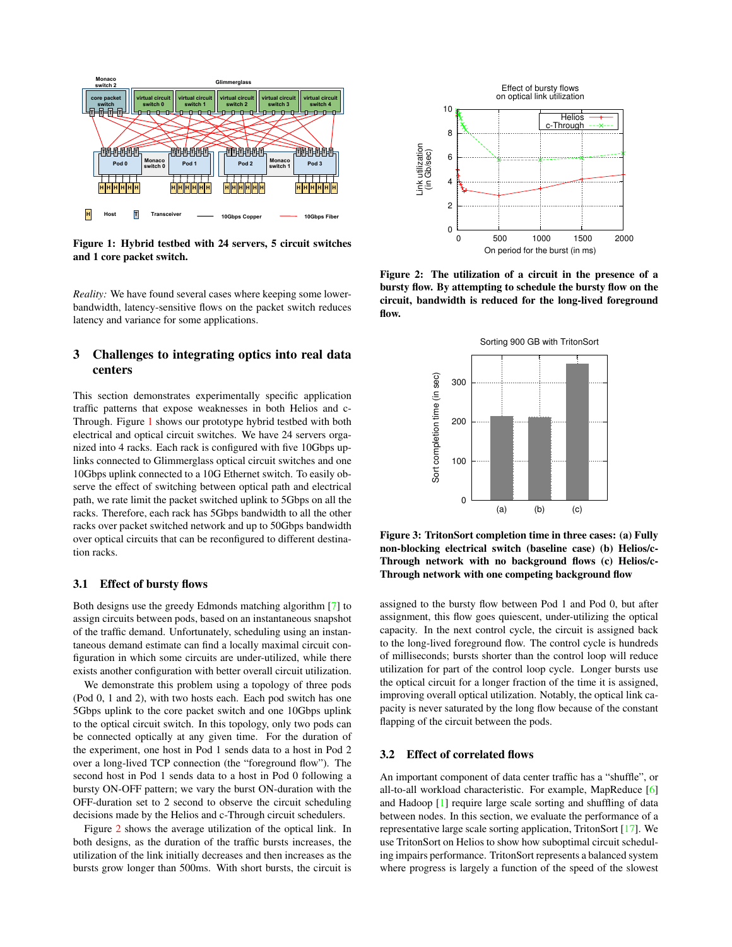<span id="page-2-0"></span>

Figure 1: Hybrid testbed with 24 servers, 5 circuit switches and 1 core packet switch.

*Reality:* We have found several cases where keeping some lowerbandwidth, latency-sensitive flows on the packet switch reduces latency and variance for some applications.

# 3 Challenges to integrating optics into real data centers

This section demonstrates experimentally specific application traffic patterns that expose weaknesses in both Helios and c-Through. Figure [1](#page-2-0) shows our prototype hybrid testbed with both electrical and optical circuit switches. We have 24 servers organized into 4 racks. Each rack is configured with five 10Gbps uplinks connected to Glimmerglass optical circuit switches and one 10Gbps uplink connected to a 10G Ethernet switch. To easily observe the effect of switching between optical path and electrical path, we rate limit the packet switched uplink to 5Gbps on all the racks. Therefore, each rack has 5Gbps bandwidth to all the other racks over packet switched network and up to 50Gbps bandwidth over optical circuits that can be reconfigured to different destination racks.

#### <span id="page-2-3"></span>3.1 Effect of bursty flows

Both designs use the greedy Edmonds matching algorithm [\[7\]](#page-6-1) to assign circuits between pods, based on an instantaneous snapshot of the traffic demand. Unfortunately, scheduling using an instantaneous demand estimate can find a locally maximal circuit configuration in which some circuits are under-utilized, while there exists another configuration with better overall circuit utilization.

We demonstrate this problem using a topology of three pods (Pod 0, 1 and 2), with two hosts each. Each pod switch has one 5Gbps uplink to the core packet switch and one 10Gbps uplink to the optical circuit switch. In this topology, only two pods can be connected optically at any given time. For the duration of the experiment, one host in Pod 1 sends data to a host in Pod 2 over a long-lived TCP connection (the "foreground flow"). The second host in Pod 1 sends data to a host in Pod 0 following a bursty ON-OFF pattern; we vary the burst ON-duration with the OFF-duration set to 2 second to observe the circuit scheduling decisions made by the Helios and c-Through circuit schedulers.

Figure [2](#page-2-1) shows the average utilization of the optical link. In both designs, as the duration of the traffic bursts increases, the utilization of the link initially decreases and then increases as the bursts grow longer than 500ms. With short bursts, the circuit is

<span id="page-2-1"></span>

Figure 2: The utilization of a circuit in the presence of a bursty flow. By attempting to schedule the bursty flow on the circuit, bandwidth is reduced for the long-lived foreground flow.

<span id="page-2-2"></span>

Figure 3: TritonSort completion time in three cases: (a) Fully non-blocking electrical switch (baseline case) (b) Helios/c-Through network with no background flows (c) Helios/c-Through network with one competing background flow

assigned to the bursty flow between Pod 1 and Pod 0, but after assignment, this flow goes quiescent, under-utilizing the optical capacity. In the next control cycle, the circuit is assigned back to the long-lived foreground flow. The control cycle is hundreds of milliseconds; bursts shorter than the control loop will reduce utilization for part of the control loop cycle. Longer bursts use the optical circuit for a longer fraction of the time it is assigned, improving overall optical utilization. Notably, the optical link capacity is never saturated by the long flow because of the constant flapping of the circuit between the pods.

#### 3.2 Effect of correlated flows

An important component of data center traffic has a "shuffle", or all-to-all workload characteristic. For example, MapReduce [\[6\]](#page-6-2) and Hadoop [\[1\]](#page-6-3) require large scale sorting and shuffling of data between nodes. In this section, we evaluate the performance of a representative large scale sorting application, TritonSort [\[17\]](#page-7-2). We use TritonSort on Helios to show how suboptimal circuit scheduling impairs performance. TritonSort represents a balanced system where progress is largely a function of the speed of the slowest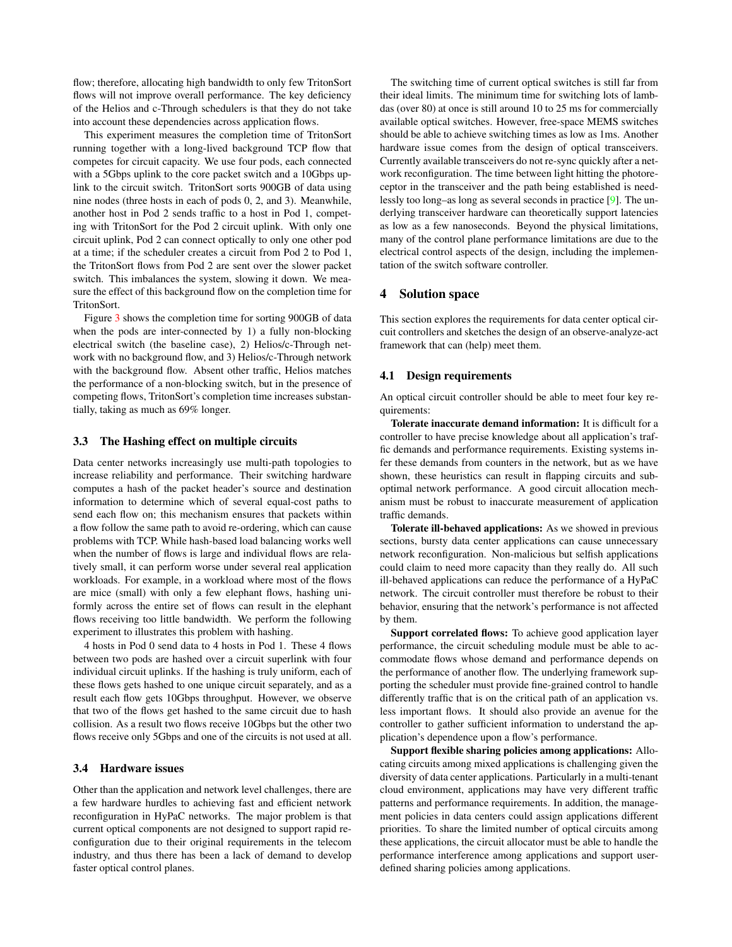flow; therefore, allocating high bandwidth to only few TritonSort flows will not improve overall performance. The key deficiency of the Helios and c-Through schedulers is that they do not take into account these dependencies across application flows.

This experiment measures the completion time of TritonSort running together with a long-lived background TCP flow that competes for circuit capacity. We use four pods, each connected with a 5Gbps uplink to the core packet switch and a 10Gbps uplink to the circuit switch. TritonSort sorts 900GB of data using nine nodes (three hosts in each of pods 0, 2, and 3). Meanwhile, another host in Pod 2 sends traffic to a host in Pod 1, competing with TritonSort for the Pod 2 circuit uplink. With only one circuit uplink, Pod 2 can connect optically to only one other pod at a time; if the scheduler creates a circuit from Pod 2 to Pod 1, the TritonSort flows from Pod 2 are sent over the slower packet switch. This imbalances the system, slowing it down. We measure the effect of this background flow on the completion time for TritonSort.

Figure [3](#page-2-2) shows the completion time for sorting 900GB of data when the pods are inter-connected by 1) a fully non-blocking electrical switch (the baseline case), 2) Helios/c-Through network with no background flow, and 3) Helios/c-Through network with the background flow. Absent other traffic, Helios matches the performance of a non-blocking switch, but in the presence of competing flows, TritonSort's completion time increases substantially, taking as much as 69% longer.

#### 3.3 The Hashing effect on multiple circuits

Data center networks increasingly use multi-path topologies to increase reliability and performance. Their switching hardware computes a hash of the packet header's source and destination information to determine which of several equal-cost paths to send each flow on; this mechanism ensures that packets within a flow follow the same path to avoid re-ordering, which can cause problems with TCP. While hash-based load balancing works well when the number of flows is large and individual flows are relatively small, it can perform worse under several real application workloads. For example, in a workload where most of the flows are mice (small) with only a few elephant flows, hashing uniformly across the entire set of flows can result in the elephant flows receiving too little bandwidth. We perform the following experiment to illustrates this problem with hashing.

4 hosts in Pod 0 send data to 4 hosts in Pod 1. These 4 flows between two pods are hashed over a circuit superlink with four individual circuit uplinks. If the hashing is truly uniform, each of these flows gets hashed to one unique circuit separately, and as a result each flow gets 10Gbps throughput. However, we observe that two of the flows get hashed to the same circuit due to hash collision. As a result two flows receive 10Gbps but the other two flows receive only 5Gbps and one of the circuits is not used at all.

#### 3.4 Hardware issues

Other than the application and network level challenges, there are a few hardware hurdles to achieving fast and efficient network reconfiguration in HyPaC networks. The major problem is that current optical components are not designed to support rapid reconfiguration due to their original requirements in the telecom industry, and thus there has been a lack of demand to develop faster optical control planes.

The switching time of current optical switches is still far from their ideal limits. The minimum time for switching lots of lambdas (over 80) at once is still around 10 to 25 ms for commercially available optical switches. However, free-space MEMS switches should be able to achieve switching times as low as 1ms. Another hardware issue comes from the design of optical transceivers. Currently available transceivers do not re-sync quickly after a network reconfiguration. The time between light hitting the photoreceptor in the transceiver and the path being established is needlessly too long–as long as several seconds in practice [\[9\]](#page-6-4). The underlying transceiver hardware can theoretically support latencies as low as a few nanoseconds. Beyond the physical limitations, many of the control plane performance limitations are due to the electrical control aspects of the design, including the implementation of the switch software controller.

## 4 Solution space

This section explores the requirements for data center optical circuit controllers and sketches the design of an observe-analyze-act framework that can (help) meet them.

#### 4.1 Design requirements

An optical circuit controller should be able to meet four key requirements:

Tolerate inaccurate demand information: It is difficult for a controller to have precise knowledge about all application's traffic demands and performance requirements. Existing systems infer these demands from counters in the network, but as we have shown, these heuristics can result in flapping circuits and suboptimal network performance. A good circuit allocation mechanism must be robust to inaccurate measurement of application traffic demands.

Tolerate ill-behaved applications: As we showed in previous sections, bursty data center applications can cause unnecessary network reconfiguration. Non-malicious but selfish applications could claim to need more capacity than they really do. All such ill-behaved applications can reduce the performance of a HyPaC network. The circuit controller must therefore be robust to their behavior, ensuring that the network's performance is not affected by them.

Support correlated flows: To achieve good application layer performance, the circuit scheduling module must be able to accommodate flows whose demand and performance depends on the performance of another flow. The underlying framework supporting the scheduler must provide fine-grained control to handle differently traffic that is on the critical path of an application vs. less important flows. It should also provide an avenue for the controller to gather sufficient information to understand the application's dependence upon a flow's performance.

Support flexible sharing policies among applications: Allocating circuits among mixed applications is challenging given the diversity of data center applications. Particularly in a multi-tenant cloud environment, applications may have very different traffic patterns and performance requirements. In addition, the management policies in data centers could assign applications different priorities. To share the limited number of optical circuits among these applications, the circuit allocator must be able to handle the performance interference among applications and support userdefined sharing policies among applications.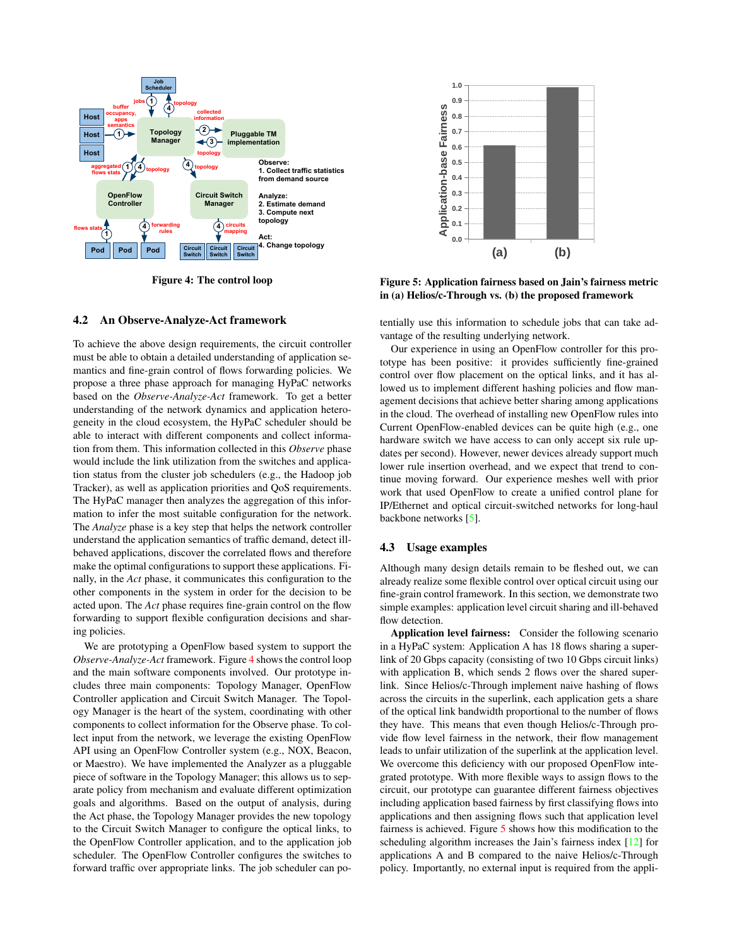<span id="page-4-0"></span>

Figure 4: The control loop

# 4.2 An Observe-Analyze-Act framework

To achieve the above design requirements, the circuit controller must be able to obtain a detailed understanding of application semantics and fine-grain control of flows forwarding policies. We propose a three phase approach for managing HyPaC networks based on the *Observe-Analyze-Act* framework. To get a better understanding of the network dynamics and application heterogeneity in the cloud ecosystem, the HyPaC scheduler should be able to interact with different components and collect information from them. This information collected in this *Observe* phase would include the link utilization from the switches and application status from the cluster job schedulers (e.g., the Hadoop job Tracker), as well as application priorities and QoS requirements. The HyPaC manager then analyzes the aggregation of this information to infer the most suitable configuration for the network. The *Analyze* phase is a key step that helps the network controller understand the application semantics of traffic demand, detect illbehaved applications, discover the correlated flows and therefore make the optimal configurations to support these applications. Finally, in the *Act* phase, it communicates this configuration to the other components in the system in order for the decision to be acted upon. The *Act* phase requires fine-grain control on the flow forwarding to support flexible configuration decisions and sharing policies.

We are prototyping a OpenFlow based system to support the *Observe-Analyze-Act* framework. Figure [4](#page-4-0) shows the control loop and the main software components involved. Our prototype includes three main components: Topology Manager, OpenFlow Controller application and Circuit Switch Manager. The Topology Manager is the heart of the system, coordinating with other components to collect information for the Observe phase. To collect input from the network, we leverage the existing OpenFlow API using an OpenFlow Controller system (e.g., NOX, Beacon, or Maestro). We have implemented the Analyzer as a pluggable piece of software in the Topology Manager; this allows us to separate policy from mechanism and evaluate different optimization goals and algorithms. Based on the output of analysis, during the Act phase, the Topology Manager provides the new topology to the Circuit Switch Manager to configure the optical links, to the OpenFlow Controller application, and to the application job scheduler. The OpenFlow Controller configures the switches to forward traffic over appropriate links. The job scheduler can po-

<span id="page-4-1"></span>

Figure 5: Application fairness based on Jain's fairness metric in (a) Helios/c-Through vs. (b) the proposed framework

tentially use this information to schedule jobs that can take advantage of the resulting underlying network.

Our experience in using an OpenFlow controller for this prototype has been positive: it provides sufficiently fine-grained control over flow placement on the optical links, and it has allowed us to implement different hashing policies and flow management decisions that achieve better sharing among applications in the cloud. The overhead of installing new OpenFlow rules into Current OpenFlow-enabled devices can be quite high (e.g., one hardware switch we have access to can only accept six rule updates per second). However, newer devices already support much lower rule insertion overhead, and we expect that trend to continue moving forward. Our experience meshes well with prior work that used OpenFlow to create a unified control plane for IP/Ethernet and optical circuit-switched networks for long-haul backbone networks [\[5\]](#page-6-5).

#### 4.3 Usage examples

Although many design details remain to be fleshed out, we can already realize some flexible control over optical circuit using our fine-grain control framework. In this section, we demonstrate two simple examples: application level circuit sharing and ill-behaved flow detection.

Page 1 link of 20 Gbps capacity (consisting of two 10 Gbps circuit links) Application level fairness: Consider the following scenario in a HyPaC system: Application A has 18 flows sharing a superwith application B, which sends 2 flows over the shared superlink. Since Helios/c-Through implement naive hashing of flows across the circuits in the superlink, each application gets a share of the optical link bandwidth proportional to the number of flows they have. This means that even though Helios/c-Through provide flow level fairness in the network, their flow management leads to unfair utilization of the superlink at the application level. We overcome this deficiency with our proposed OpenFlow integrated prototype. With more flexible ways to assign flows to the circuit, our prototype can guarantee different fairness objectives including application based fairness by first classifying flows into applications and then assigning flows such that application level fairness is achieved. Figure [5](#page-4-1) shows how this modification to the scheduling algorithm increases the Jain's fairness index [\[12\]](#page-7-3) for applications A and B compared to the naive Helios/c-Through policy. Importantly, no external input is required from the appli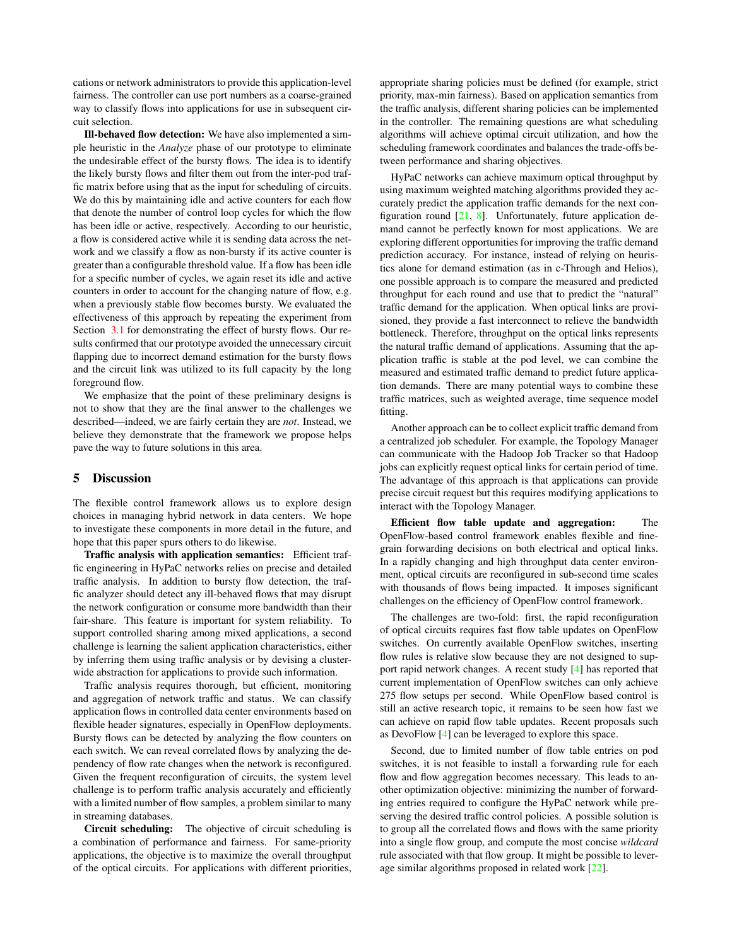cations or network administrators to provide this application-level fairness. The controller can use port numbers as a coarse-grained way to classify flows into applications for use in subsequent circuit selection.

Ill-behaved flow detection: We have also implemented a simple heuristic in the *Analyze* phase of our prototype to eliminate the undesirable effect of the bursty flows. The idea is to identify the likely bursty flows and filter them out from the inter-pod traffic matrix before using that as the input for scheduling of circuits. We do this by maintaining idle and active counters for each flow that denote the number of control loop cycles for which the flow has been idle or active, respectively. According to our heuristic, a flow is considered active while it is sending data across the network and we classify a flow as non-bursty if its active counter is greater than a configurable threshold value. If a flow has been idle for a specific number of cycles, we again reset its idle and active counters in order to account for the changing nature of flow, e.g. when a previously stable flow becomes bursty. We evaluated the effectiveness of this approach by repeating the experiment from Section [3.1](#page-2-3) for demonstrating the effect of bursty flows. Our results confirmed that our prototype avoided the unnecessary circuit flapping due to incorrect demand estimation for the bursty flows and the circuit link was utilized to its full capacity by the long foreground flow.

We emphasize that the point of these preliminary designs is not to show that they are the final answer to the challenges we described—indeed, we are fairly certain they are *not*. Instead, we believe they demonstrate that the framework we propose helps pave the way to future solutions in this area.

#### 5 Discussion

The flexible control framework allows us to explore design choices in managing hybrid network in data centers. We hope to investigate these components in more detail in the future, and hope that this paper spurs others to do likewise.

Traffic analysis with application semantics: Efficient traffic engineering in HyPaC networks relies on precise and detailed traffic analysis. In addition to bursty flow detection, the traffic analyzer should detect any ill-behaved flows that may disrupt the network configuration or consume more bandwidth than their fair-share. This feature is important for system reliability. To support controlled sharing among mixed applications, a second challenge is learning the salient application characteristics, either by inferring them using traffic analysis or by devising a clusterwide abstraction for applications to provide such information.

Traffic analysis requires thorough, but efficient, monitoring and aggregation of network traffic and status. We can classify application flows in controlled data center environments based on flexible header signatures, especially in OpenFlow deployments. Bursty flows can be detected by analyzing the flow counters on each switch. We can reveal correlated flows by analyzing the dependency of flow rate changes when the network is reconfigured. Given the frequent reconfiguration of circuits, the system level challenge is to perform traffic analysis accurately and efficiently with a limited number of flow samples, a problem similar to many in streaming databases.

Circuit scheduling: The objective of circuit scheduling is a combination of performance and fairness. For same-priority applications, the objective is to maximize the overall throughput of the optical circuits. For applications with different priorities,

appropriate sharing policies must be defined (for example, strict priority, max-min fairness). Based on application semantics from the traffic analysis, different sharing policies can be implemented in the controller. The remaining questions are what scheduling algorithms will achieve optimal circuit utilization, and how the scheduling framework coordinates and balances the trade-offs between performance and sharing objectives.

HyPaC networks can achieve maximum optical throughput by using maximum weighted matching algorithms provided they accurately predict the application traffic demands for the next configuration round [\[21,](#page-7-0) [8\]](#page-6-0). Unfortunately, future application demand cannot be perfectly known for most applications. We are exploring different opportunities for improving the traffic demand prediction accuracy. For instance, instead of relying on heuristics alone for demand estimation (as in c-Through and Helios), one possible approach is to compare the measured and predicted throughput for each round and use that to predict the "natural" traffic demand for the application. When optical links are provisioned, they provide a fast interconnect to relieve the bandwidth bottleneck. Therefore, throughput on the optical links represents the natural traffic demand of applications. Assuming that the application traffic is stable at the pod level, we can combine the measured and estimated traffic demand to predict future application demands. There are many potential ways to combine these traffic matrices, such as weighted average, time sequence model fitting.

Another approach can be to collect explicit traffic demand from a centralized job scheduler. For example, the Topology Manager can communicate with the Hadoop Job Tracker so that Hadoop jobs can explicitly request optical links for certain period of time. The advantage of this approach is that applications can provide precise circuit request but this requires modifying applications to interact with the Topology Manager.

Efficient flow table update and aggregation: The OpenFlow-based control framework enables flexible and finegrain forwarding decisions on both electrical and optical links. In a rapidly changing and high throughput data center environment, optical circuits are reconfigured in sub-second time scales with thousands of flows being impacted. It imposes significant challenges on the efficiency of OpenFlow control framework.

The challenges are two-fold: first, the rapid reconfiguration of optical circuits requires fast flow table updates on OpenFlow switches. On currently available OpenFlow switches, inserting flow rules is relative slow because they are not designed to support rapid network changes. A recent study [\[4\]](#page-6-6) has reported that current implementation of OpenFlow switches can only achieve 275 flow setups per second. While OpenFlow based control is still an active research topic, it remains to be seen how fast we can achieve on rapid flow table updates. Recent proposals such as DevoFlow [\[4\]](#page-6-6) can be leveraged to explore this space.

Second, due to limited number of flow table entries on pod switches, it is not feasible to install a forwarding rule for each flow and flow aggregation becomes necessary. This leads to another optimization objective: minimizing the number of forwarding entries required to configure the HyPaC network while preserving the desired traffic control policies. A possible solution is to group all the correlated flows and flows with the same priority into a single flow group, and compute the most concise *wildcard* rule associated with that flow group. It might be possible to lever-age similar algorithms proposed in related work [\[22\]](#page-7-4).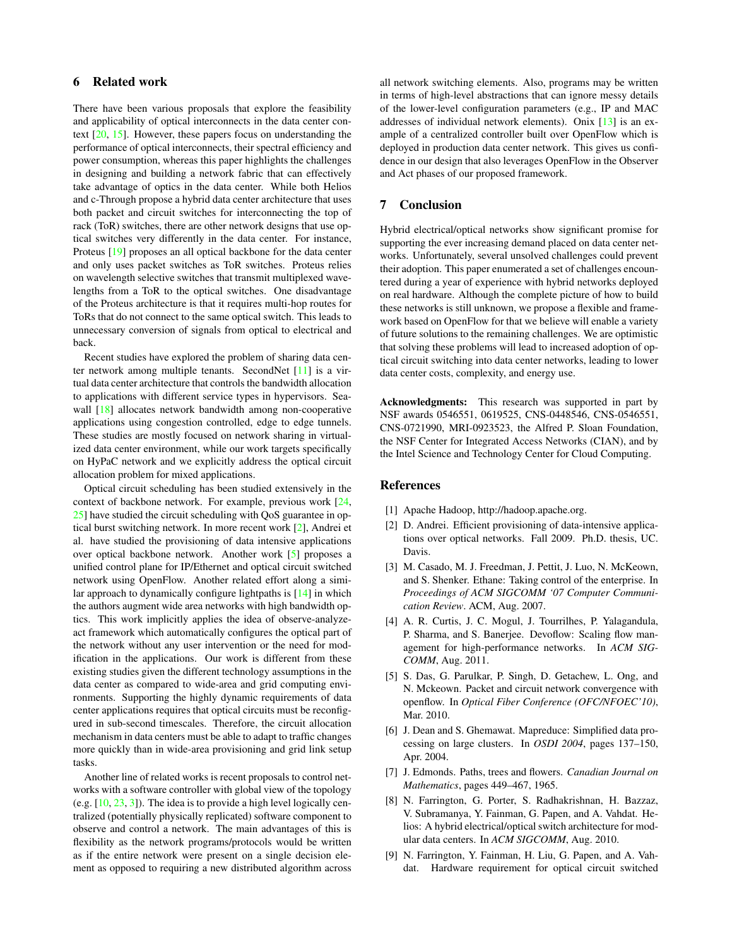### 6 Related work

There have been various proposals that explore the feasibility and applicability of optical interconnects in the data center context [\[20,](#page-7-5) [15\]](#page-7-6). However, these papers focus on understanding the performance of optical interconnects, their spectral efficiency and power consumption, whereas this paper highlights the challenges in designing and building a network fabric that can effectively take advantage of optics in the data center. While both Helios and c-Through propose a hybrid data center architecture that uses both packet and circuit switches for interconnecting the top of rack (ToR) switches, there are other network designs that use optical switches very differently in the data center. For instance, Proteus [\[19\]](#page-7-7) proposes an all optical backbone for the data center and only uses packet switches as ToR switches. Proteus relies on wavelength selective switches that transmit multiplexed wavelengths from a ToR to the optical switches. One disadvantage of the Proteus architecture is that it requires multi-hop routes for ToRs that do not connect to the same optical switch. This leads to unnecessary conversion of signals from optical to electrical and back.

Recent studies have explored the problem of sharing data center network among multiple tenants. SecondNet [\[11\]](#page-7-8) is a virtual data center architecture that controls the bandwidth allocation to applications with different service types in hypervisors. Sea-wall [\[18\]](#page-7-9) allocates network bandwidth among non-cooperative applications using congestion controlled, edge to edge tunnels. These studies are mostly focused on network sharing in virtualized data center environment, while our work targets specifically on HyPaC network and we explicitly address the optical circuit allocation problem for mixed applications.

Optical circuit scheduling has been studied extensively in the context of backbone network. For example, previous work [\[24,](#page-7-10) [25\]](#page-7-11) have studied the circuit scheduling with QoS guarantee in optical burst switching network. In more recent work [\[2\]](#page-6-7), Andrei et al. have studied the provisioning of data intensive applications over optical backbone network. Another work [\[5\]](#page-6-5) proposes a unified control plane for IP/Ethernet and optical circuit switched network using OpenFlow. Another related effort along a similar approach to dynamically configure lightpaths is [\[14\]](#page-7-12) in which the authors augment wide area networks with high bandwidth optics. This work implicitly applies the idea of observe-analyzeact framework which automatically configures the optical part of the network without any user intervention or the need for modification in the applications. Our work is different from these existing studies given the different technology assumptions in the data center as compared to wide-area and grid computing environments. Supporting the highly dynamic requirements of data center applications requires that optical circuits must be reconfigured in sub-second timescales. Therefore, the circuit allocation mechanism in data centers must be able to adapt to traffic changes more quickly than in wide-area provisioning and grid link setup tasks.

Another line of related works is recent proposals to control networks with a software controller with global view of the topology (e.g. [\[10,](#page-7-13) [23,](#page-7-14) [3\]](#page-6-8)). The idea is to provide a high level logically centralized (potentially physically replicated) software component to observe and control a network. The main advantages of this is flexibility as the network programs/protocols would be written as if the entire network were present on a single decision element as opposed to requiring a new distributed algorithm across

all network switching elements. Also, programs may be written in terms of high-level abstractions that can ignore messy details of the lower-level configuration parameters (e.g., IP and MAC addresses of individual network elements). Onix [\[13\]](#page-7-15) is an example of a centralized controller built over OpenFlow which is deployed in production data center network. This gives us confidence in our design that also leverages OpenFlow in the Observer and Act phases of our proposed framework.

## 7 Conclusion

Hybrid electrical/optical networks show significant promise for supporting the ever increasing demand placed on data center networks. Unfortunately, several unsolved challenges could prevent their adoption. This paper enumerated a set of challenges encountered during a year of experience with hybrid networks deployed on real hardware. Although the complete picture of how to build these networks is still unknown, we propose a flexible and framework based on OpenFlow for that we believe will enable a variety of future solutions to the remaining challenges. We are optimistic that solving these problems will lead to increased adoption of optical circuit switching into data center networks, leading to lower data center costs, complexity, and energy use.

Acknowledgments: This research was supported in part by NSF awards 0546551, 0619525, CNS-0448546, CNS-0546551, CNS-0721990, MRI-0923523, the Alfred P. Sloan Foundation, the NSF Center for Integrated Access Networks (CIAN), and by the Intel Science and Technology Center for Cloud Computing.

#### References

- <span id="page-6-3"></span>[1] Apache Hadoop, http://hadoop.apache.org.
- <span id="page-6-7"></span>[2] D. Andrei. Efficient provisioning of data-intensive applications over optical networks. Fall 2009. Ph.D. thesis, UC. Davis.
- <span id="page-6-8"></span>[3] M. Casado, M. J. Freedman, J. Pettit, J. Luo, N. McKeown, and S. Shenker. Ethane: Taking control of the enterprise. In *Proceedings of ACM SIGCOMM '07 Computer Communication Review*. ACM, Aug. 2007.
- <span id="page-6-6"></span>[4] A. R. Curtis, J. C. Mogul, J. Tourrilhes, P. Yalagandula, P. Sharma, and S. Banerjee. Devoflow: Scaling flow management for high-performance networks. In *ACM SIG-COMM*, Aug. 2011.
- <span id="page-6-5"></span>[5] S. Das, G. Parulkar, P. Singh, D. Getachew, L. Ong, and N. Mckeown. Packet and circuit network convergence with openflow. In *Optical Fiber Conference (OFC/NFOEC'10)*, Mar. 2010.
- <span id="page-6-2"></span>[6] J. Dean and S. Ghemawat. Mapreduce: Simplified data processing on large clusters. In *OSDI 2004*, pages 137–150, Apr. 2004.
- <span id="page-6-1"></span>[7] J. Edmonds. Paths, trees and flowers. *Canadian Journal on Mathematics*, pages 449–467, 1965.
- <span id="page-6-0"></span>[8] N. Farrington, G. Porter, S. Radhakrishnan, H. Bazzaz, V. Subramanya, Y. Fainman, G. Papen, and A. Vahdat. Helios: A hybrid electrical/optical switch architecture for modular data centers. In *ACM SIGCOMM*, Aug. 2010.
- <span id="page-6-4"></span>[9] N. Farrington, Y. Fainman, H. Liu, G. Papen, and A. Vahdat. Hardware requirement for optical circuit switched